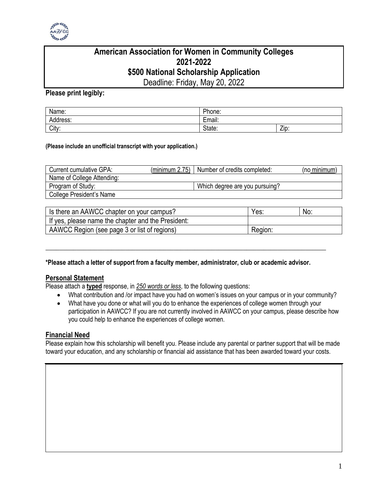

# **American Association for Women in Community Colleges 2021-2022 \$500 National Scholarship Application**

Deadline: Friday, May 20, 2022

## **Please print legibly:**

| Name:    | Phone:                                    |      |
|----------|-------------------------------------------|------|
| Address: | $\overline{\phantom{0}}$<br>. .<br>Email: |      |
| City:    | State:                                    | Zip: |

#### **(Please include an unofficial transcript with your application.)**

| Current cumulative GPA:    | (minimum 2.75)   Number of credits completed: | (no minimum) |
|----------------------------|-----------------------------------------------|--------------|
| Name of College Attending: |                                               |              |
| Program of Study:          | Which degree are you pursuing?                |              |
| College President's Name   |                                               |              |

| Is there an AAWCC chapter on your campus?          | Yes:    | No: |
|----------------------------------------------------|---------|-----|
| If yes, please name the chapter and the President: |         |     |
| AAWCC Region (see page 3 or list of regions)       | Region: |     |

#### **\*Please attach a letter of support from a faculty member, administrator, club or academic advisor.**

\_\_\_\_\_\_\_\_\_\_\_\_\_\_\_\_\_\_\_\_\_\_\_\_\_\_\_\_\_\_\_\_\_\_\_\_\_\_\_\_\_\_\_\_\_\_\_\_\_\_\_\_\_\_\_\_\_\_\_\_\_\_\_\_\_\_\_\_\_\_\_\_\_\_\_\_\_\_\_\_\_

### **Personal Statement**

Please attach a **typed** response, in *250 words or less*, to the following questions:

- What contribution and /or impact have you had on women's issues on your campus or in your community?
- What have you done or what will you do to enhance the experiences of college women through your participation in AAWCC? If you are not currently involved in AAWCC on your campus, please describe how you could help to enhance the experiences of college women.

### **Financial Need**

Please explain how this scholarship will benefit you. Please include any parental or partner support that will be made toward your education, and any scholarship or financial aid assistance that has been awarded toward your costs.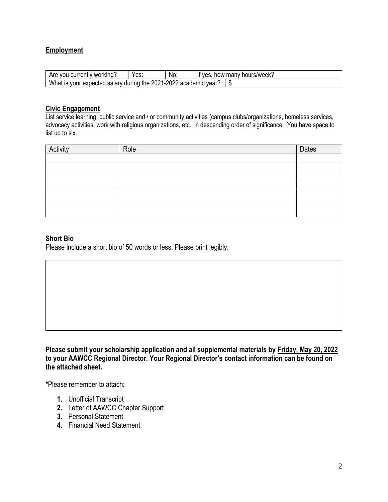## **Employment**

| Are<br>u Curro<br>' working<br>.entiv:<br>VOL.                                                                                 | Yes: | No: | many<br>hours/week.<br>ves<br><br>now |
|--------------------------------------------------------------------------------------------------------------------------------|------|-----|---------------------------------------|
| ററാ<br>Wh.<br>วกวง<br>the t<br>urina<br>vear<br>salarv<br>ካIC<br>ວur<br>expected<br>ac<br>au.<br>Jadem.<br>v<br>IS<br>па<br>мJ |      |     |                                       |

#### **Civic Engagement**

List service learning, public service and / or community activities (campus clubs/organizations, homeless services, advocacy activities, work with religious organizations, etc., in descending order of significance. You have space to list up to six.

| Activity | Role | Dates |
|----------|------|-------|
|          |      |       |
|          |      |       |
|          |      |       |
|          |      |       |
|          |      |       |
|          |      |       |
|          |      |       |

## **Short Bio**

Please include a short bio of 50 words or less. Please print legibly.

**Please submit your scholarship application and all supplemental materials by Friday, May 20, 2022 to your AAWCC Regional Director. Your Regional Director's contact information can be found on the attached sheet.**

**\***Please remember to attach:

- **1.** Unofficial Transcript
- **2.** Letter of AAWCC Chapter Support
- **3.** Personal Statement
- **4.** Financial Need Statement